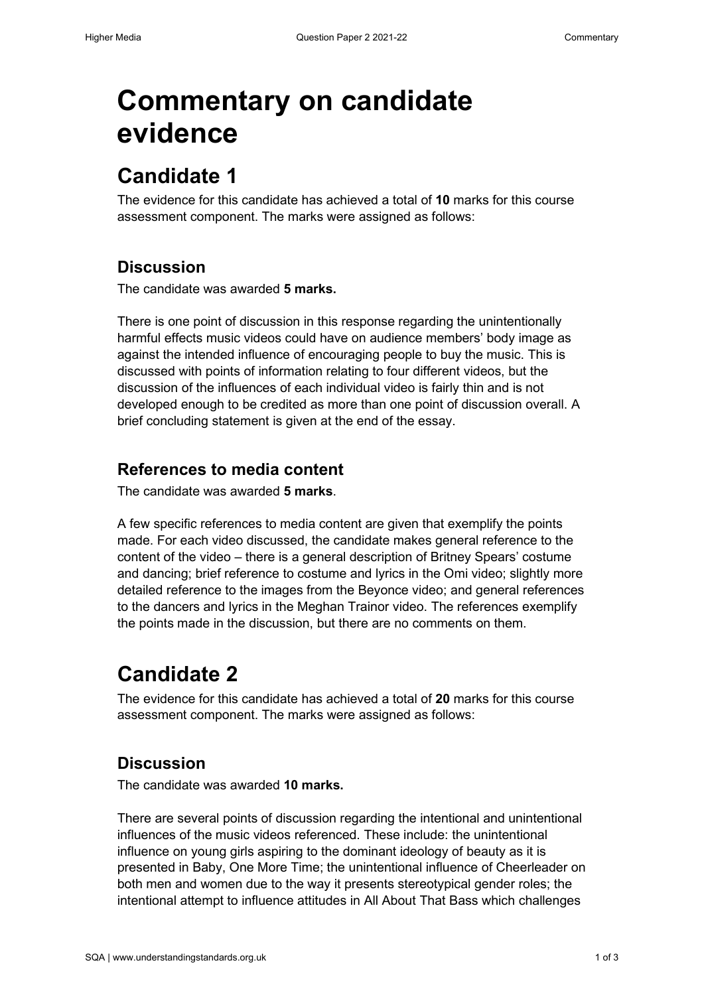# **Commentary on candidate evidence**

### **Candidate 1**

The evidence for this candidate has achieved a total of **10** marks for this course assessment component. The marks were assigned as follows:

### **Discussion**

The candidate was awarded **5 marks.** 

There is one point of discussion in this response regarding the unintentionally harmful effects music videos could have on audience members' body image as against the intended influence of encouraging people to buy the music. This is discussed with points of information relating to four different videos, but the discussion of the influences of each individual video is fairly thin and is not developed enough to be credited as more than one point of discussion overall. A brief concluding statement is given at the end of the essay.

#### **References to media content**

The candidate was awarded **5 marks**.

A few specific references to media content are given that exemplify the points made. For each video discussed, the candidate makes general reference to the content of the video – there is a general description of Britney Spears' costume and dancing; brief reference to costume and lyrics in the Omi video; slightly more detailed reference to the images from the Beyonce video; and general references to the dancers and lyrics in the Meghan Trainor video. The references exemplify the points made in the discussion, but there are no comments on them.

## **Candidate 2**

The evidence for this candidate has achieved a total of **20** marks for this course assessment component. The marks were assigned as follows:

#### **Discussion**

The candidate was awarded **10 marks.** 

There are several points of discussion regarding the intentional and unintentional influences of the music videos referenced. These include: the unintentional influence on young girls aspiring to the dominant ideology of beauty as it is presented in Baby, One More Time; the unintentional influence of Cheerleader on both men and women due to the way it presents stereotypical gender roles; the intentional attempt to influence attitudes in All About That Bass which challenges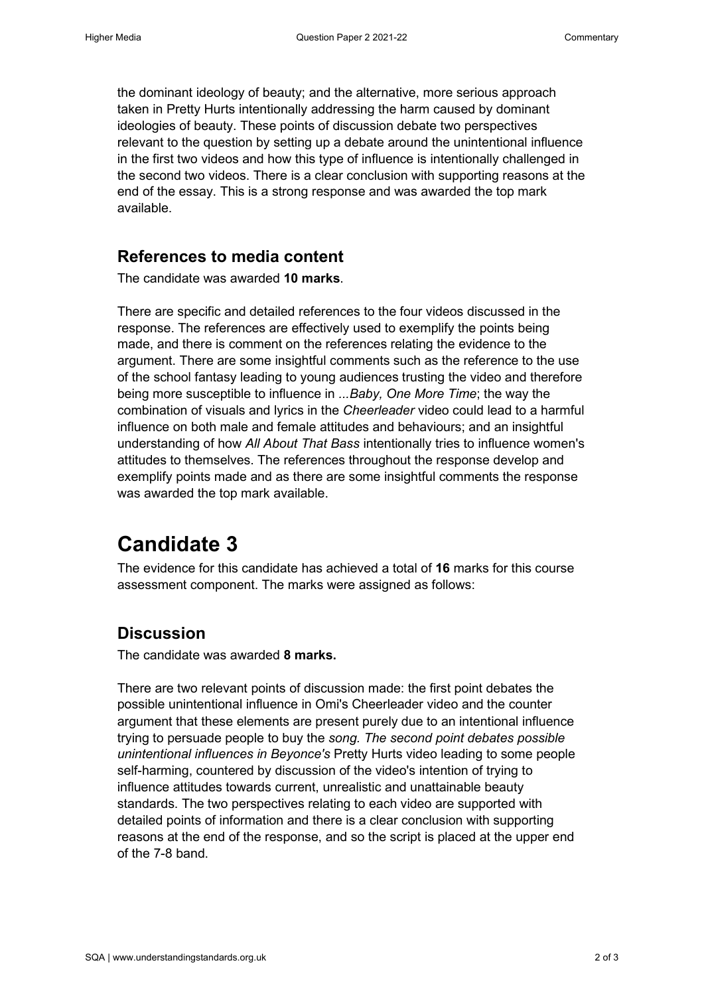the dominant ideology of beauty; and the alternative, more serious approach taken in Pretty Hurts intentionally addressing the harm caused by dominant ideologies of beauty. These points of discussion debate two perspectives relevant to the question by setting up a debate around the unintentional influence in the first two videos and how this type of influence is intentionally challenged in the second two videos. There is a clear conclusion with supporting reasons at the end of the essay. This is a strong response and was awarded the top mark available.

#### **References to media content**

The candidate was awarded **10 marks**.

There are specific and detailed references to the four videos discussed in the response. The references are effectively used to exemplify the points being made, and there is comment on the references relating the evidence to the argument. There are some insightful comments such as the reference to the use of the school fantasy leading to young audiences trusting the video and therefore being more susceptible to influence in *...Baby, One More Time*; the way the combination of visuals and lyrics in the *Cheerleader* video could lead to a harmful influence on both male and female attitudes and behaviours; and an insightful understanding of how *All About That Bass* intentionally tries to influence women's attitudes to themselves. The references throughout the response develop and exemplify points made and as there are some insightful comments the response was awarded the top mark available.

### **Candidate 3**

The evidence for this candidate has achieved a total of **16** marks for this course assessment component. The marks were assigned as follows:

#### **Discussion**

The candidate was awarded **8 marks.** 

There are two relevant points of discussion made: the first point debates the possible unintentional influence in Omi's Cheerleader video and the counter argument that these elements are present purely due to an intentional influence trying to persuade people to buy the *song. The second point debates possible unintentional influences in Beyonce's* Pretty Hurts video leading to some people self-harming, countered by discussion of the video's intention of trying to influence attitudes towards current, unrealistic and unattainable beauty standards. The two perspectives relating to each video are supported with detailed points of information and there is a clear conclusion with supporting reasons at the end of the response, and so the script is placed at the upper end of the 7-8 band.